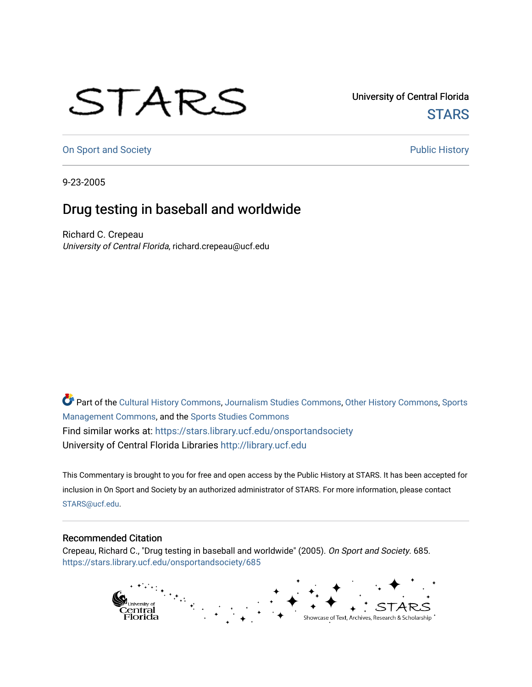## STARS

University of Central Florida **STARS** 

[On Sport and Society](https://stars.library.ucf.edu/onsportandsociety) **Public History** Public History

9-23-2005

## Drug testing in baseball and worldwide

Richard C. Crepeau University of Central Florida, richard.crepeau@ucf.edu

Part of the [Cultural History Commons](http://network.bepress.com/hgg/discipline/496?utm_source=stars.library.ucf.edu%2Fonsportandsociety%2F685&utm_medium=PDF&utm_campaign=PDFCoverPages), [Journalism Studies Commons,](http://network.bepress.com/hgg/discipline/333?utm_source=stars.library.ucf.edu%2Fonsportandsociety%2F685&utm_medium=PDF&utm_campaign=PDFCoverPages) [Other History Commons,](http://network.bepress.com/hgg/discipline/508?utm_source=stars.library.ucf.edu%2Fonsportandsociety%2F685&utm_medium=PDF&utm_campaign=PDFCoverPages) [Sports](http://network.bepress.com/hgg/discipline/1193?utm_source=stars.library.ucf.edu%2Fonsportandsociety%2F685&utm_medium=PDF&utm_campaign=PDFCoverPages) [Management Commons](http://network.bepress.com/hgg/discipline/1193?utm_source=stars.library.ucf.edu%2Fonsportandsociety%2F685&utm_medium=PDF&utm_campaign=PDFCoverPages), and the [Sports Studies Commons](http://network.bepress.com/hgg/discipline/1198?utm_source=stars.library.ucf.edu%2Fonsportandsociety%2F685&utm_medium=PDF&utm_campaign=PDFCoverPages) Find similar works at: <https://stars.library.ucf.edu/onsportandsociety> University of Central Florida Libraries [http://library.ucf.edu](http://library.ucf.edu/) 

This Commentary is brought to you for free and open access by the Public History at STARS. It has been accepted for inclusion in On Sport and Society by an authorized administrator of STARS. For more information, please contact [STARS@ucf.edu](mailto:STARS@ucf.edu).

## Recommended Citation

Crepeau, Richard C., "Drug testing in baseball and worldwide" (2005). On Sport and Society. 685. [https://stars.library.ucf.edu/onsportandsociety/685](https://stars.library.ucf.edu/onsportandsociety/685?utm_source=stars.library.ucf.edu%2Fonsportandsociety%2F685&utm_medium=PDF&utm_campaign=PDFCoverPages)

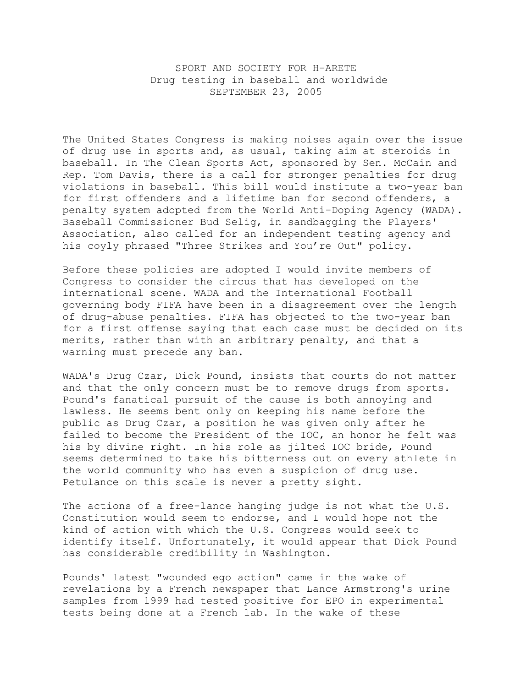SPORT AND SOCIETY FOR H-ARETE Drug testing in baseball and worldwide SEPTEMBER 23, 2005

The United States Congress is making noises again over the issue of drug use in sports and, as usual, taking aim at steroids in baseball. In The Clean Sports Act, sponsored by Sen. McCain and Rep. Tom Davis, there is a call for stronger penalties for drug violations in baseball. This bill would institute a two-year ban for first offenders and a lifetime ban for second offenders, a penalty system adopted from the World Anti-Doping Agency (WADA). Baseball Commissioner Bud Selig, in sandbagging the Players' Association, also called for an independent testing agency and his coyly phrased "Three Strikes and You're Out" policy.

Before these policies are adopted I would invite members of Congress to consider the circus that has developed on the international scene. WADA and the International Football governing body FIFA have been in a disagreement over the length of drug-abuse penalties. FIFA has objected to the two-year ban for a first offense saying that each case must be decided on its merits, rather than with an arbitrary penalty, and that a warning must precede any ban.

WADA's Drug Czar, Dick Pound, insists that courts do not matter and that the only concern must be to remove drugs from sports. Pound's fanatical pursuit of the cause is both annoying and lawless. He seems bent only on keeping his name before the public as Drug Czar, a position he was given only after he failed to become the President of the IOC, an honor he felt was his by divine right. In his role as jilted IOC bride, Pound seems determined to take his bitterness out on every athlete in the world community who has even a suspicion of drug use. Petulance on this scale is never a pretty sight.

The actions of a free-lance hanging judge is not what the U.S. Constitution would seem to endorse, and I would hope not the kind of action with which the U.S. Congress would seek to identify itself. Unfortunately, it would appear that Dick Pound has considerable credibility in Washington.

Pounds' latest "wounded ego action" came in the wake of revelations by a French newspaper that Lance Armstrong's urine samples from 1999 had tested positive for EPO in experimental tests being done at a French lab. In the wake of these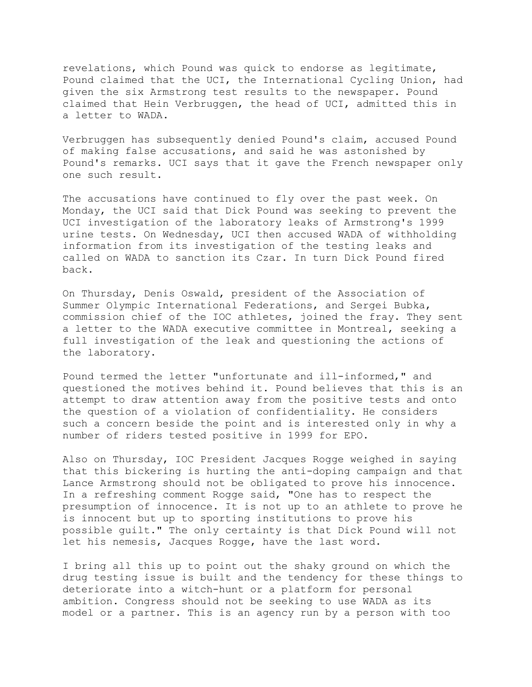revelations, which Pound was quick to endorse as legitimate, Pound claimed that the UCI, the International Cycling Union, had given the six Armstrong test results to the newspaper. Pound claimed that Hein Verbruggen, the head of UCI, admitted this in a letter to WADA.

Verbruggen has subsequently denied Pound's claim, accused Pound of making false accusations, and said he was astonished by Pound's remarks. UCI says that it gave the French newspaper only one such result.

The accusations have continued to fly over the past week. On Monday, the UCI said that Dick Pound was seeking to prevent the UCI investigation of the laboratory leaks of Armstrong's 1999 urine tests. On Wednesday, UCI then accused WADA of withholding information from its investigation of the testing leaks and called on WADA to sanction its Czar. In turn Dick Pound fired back.

On Thursday, Denis Oswald, president of the Association of Summer Olympic International Federations, and Sergei Bubka, commission chief of the IOC athletes, joined the fray. They sent a letter to the WADA executive committee in Montreal, seeking a full investigation of the leak and questioning the actions of the laboratory.

Pound termed the letter "unfortunate and ill-informed," and questioned the motives behind it. Pound believes that this is an attempt to draw attention away from the positive tests and onto the question of a violation of confidentiality. He considers such a concern beside the point and is interested only in why a number of riders tested positive in 1999 for EPO.

Also on Thursday, IOC President Jacques Rogge weighed in saying that this bickering is hurting the anti-doping campaign and that Lance Armstrong should not be obligated to prove his innocence. In a refreshing comment Rogge said, "One has to respect the presumption of innocence. It is not up to an athlete to prove he is innocent but up to sporting institutions to prove his possible guilt." The only certainty is that Dick Pound will not let his nemesis, Jacques Rogge, have the last word.

I bring all this up to point out the shaky ground on which the drug testing issue is built and the tendency for these things to deteriorate into a witch-hunt or a platform for personal ambition. Congress should not be seeking to use WADA as its model or a partner. This is an agency run by a person with too